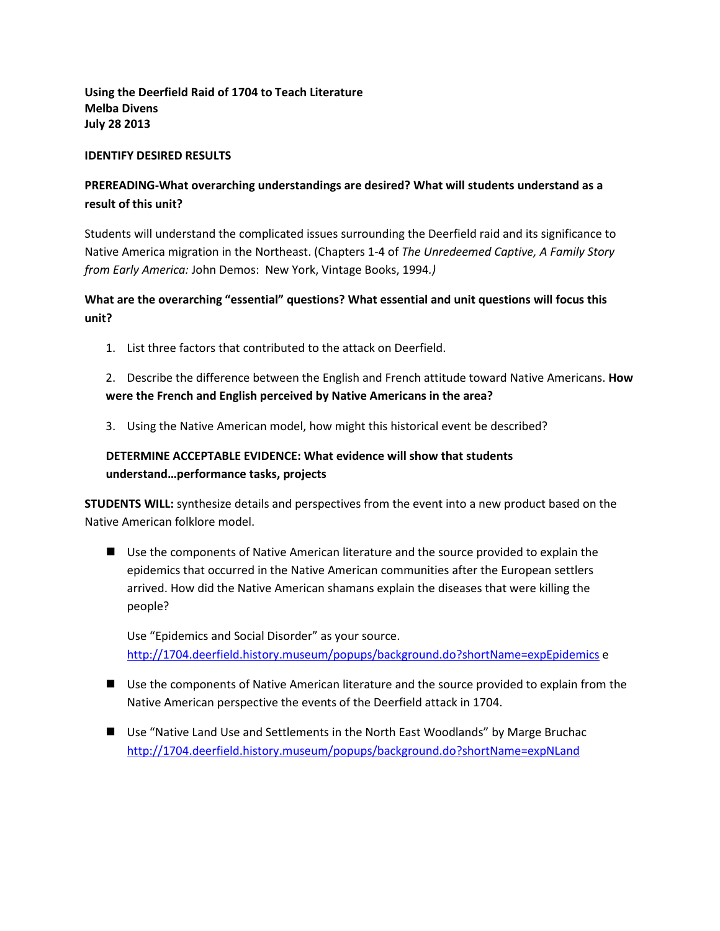**Using the Deerfield Raid of 1704 to Teach Literature Melba Divens July 28 2013**

#### **IDENTIFY DESIRED RESULTS**

# **PREREADING-What overarching understandings are desired? What will students understand as a result of this unit?**

Students will understand the complicated issues surrounding the Deerfield raid and its significance to Native America migration in the Northeast. (Chapters 1-4 of *The Unredeemed Captive, A Family Story from Early America:* John Demos:New York, Vintage Books, 1994*.)*

# **What are the overarching "essential" questions? What essential and unit questions will focus this unit?**

1. List three factors that contributed to the attack on Deerfield.

## 2. Describe the difference between the English and French attitude toward Native Americans. **How were the French and English perceived by Native Americans in the area?**

3. Using the Native American model, how might this historical event be described?

# **DETERMINE ACCEPTABLE EVIDENCE: What evidence will show that students understand…performance tasks, projects**

**STUDENTS WILL:** synthesize details and perspectives from the event into a new product based on the Native American folklore model.

 Use the components of Native American literature and the source provided to explain the epidemics that occurred in the Native American communities after the European settlers arrived. How did the Native American shamans explain the diseases that were killing the people?

Use "Epidemics and Social Disorder" as your source. <http://1704.deerfield.history.museum/popups/background.do?shortName=expEpidemics> e

- Use the components of Native American literature and the source provided to explain from the Native American perspective the events of the Deerfield attack in 1704.
- Use "Native Land Use and Settlements in the North East Woodlands" by Marge Bruchac <http://1704.deerfield.history.museum/popups/background.do?shortName=expNLand>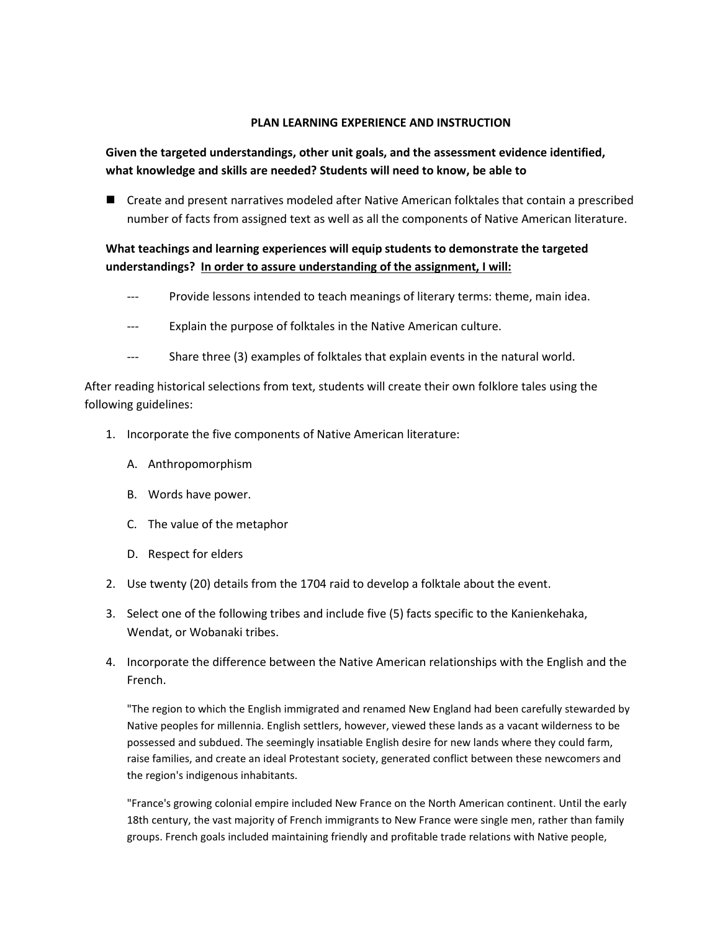#### **PLAN LEARNING EXPERIENCE AND INSTRUCTION**

#### **Given the targeted understandings, other unit goals, and the assessment evidence identified, what knowledge and skills are needed? Students will need to know, be able to**

■ Create and present narratives modeled after Native American folktales that contain a prescribed number of facts from assigned text as well as all the components of Native American literature.

## **What teachings and learning experiences will equip students to demonstrate the targeted understandings? In order to assure understanding of the assignment, I will:**

- Provide lessons intended to teach meanings of literary terms: theme, main idea.
- --- Explain the purpose of folktales in the Native American culture.
- --- Share three (3) examples of folktales that explain events in the natural world.

After reading historical selections from text, students will create their own folklore tales using the following guidelines:

- 1. Incorporate the five components of Native American literature:
	- A. Anthropomorphism
	- B. Words have power.
	- C. The value of the metaphor
	- D. Respect for elders
- 2. Use twenty (20) details from the 1704 raid to develop a folktale about the event.
- 3. Select one of the following tribes and include five (5) facts specific to the Kanienkehaka, Wendat, or Wobanaki tribes.
- 4. Incorporate the difference between the Native American relationships with the English and the French.

"The region to which the English immigrated and renamed New England had been carefully stewarded by Native peoples for millennia. English settlers, however, viewed these lands as a vacant wilderness to be possessed and subdued. The seemingly insatiable English desire for new lands where they could farm, raise families, and create an ideal Protestant society, generated conflict between these newcomers and the region's indigenous inhabitants.

"France's growing colonial empire included New France on the North American continent. Until the early 18th century, the vast majority of French immigrants to New France were single men, rather than family groups. French goals included maintaining friendly and profitable trade relations with Native people,